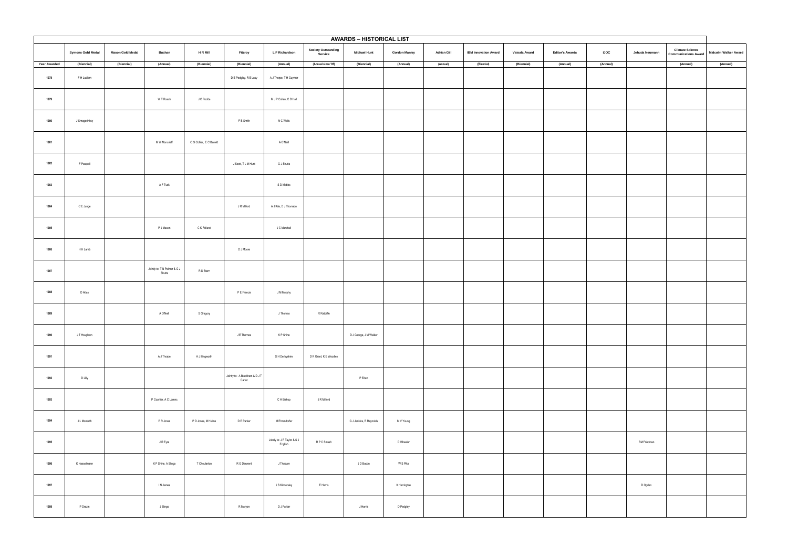|                     | <b>AWARDS - HISTORICAL LIST</b> |                         |                                        |                          |                                          |                                         |                                       |                         |                      |                    |                             |               |                        |             |                |                                                       |                             |
|---------------------|---------------------------------|-------------------------|----------------------------------------|--------------------------|------------------------------------------|-----------------------------------------|---------------------------------------|-------------------------|----------------------|--------------------|-----------------------------|---------------|------------------------|-------------|----------------|-------------------------------------------------------|-----------------------------|
|                     | <b>Symons Gold Medal</b>        | <b>Mason Gold Medal</b> | <b>Buchan</b>                          | <b>HRMill</b>            | Fitzroy                                  | L F Richardson                          | <b>Society Outstanding</b><br>Service | <b>Michael Hunt</b>     | <b>Gordon Manley</b> | <b>Adrian Gill</b> | <b>IBM Innovation Award</b> | Vaisala Award | <b>Editor's Awards</b> | <b>I'OC</b> | Jehuda Neumann | <b>Climate Science</b><br><b>Communications Award</b> | <b>Malcolm Walker Award</b> |
| <b>Year Awarded</b> | (Biennial)                      | (Biennial)              | (Annual)                               | (Biennial)               | (Biennial)                               | (Annual)                                | (Annual since '05)                    | (Biennial)              | (Annual)             | (Annual)           | (Biennial)                  | (Biennial)    | (Annual)               | (Annual)    |                | (Annual)                                              | (Annual)                    |
| 1978                | F H Ludlam                      |                         |                                        |                          | D E Pedgley, R E Lacy                    | A J Thorpe, T H Guymer                  |                                       |                         |                      |                    |                             |               |                        |             |                |                                                       |                             |
| 1979                |                                 |                         | W T Roach                              | J C Rodda                |                                          | M J P Cullen, C D Hall                  |                                       |                         |                      |                    |                             |               |                        |             |                |                                                       |                             |
| 1980                | J Smagorinksy                   |                         |                                        |                          | F B Smith                                | N C Wells                               |                                       |                         |                      |                    |                             |               |                        |             |                |                                                       |                             |
| 1981                |                                 |                         | M W Moncrieff                          | C G Collier, E C Barrett |                                          | A O'Neill                               |                                       |                         |                      |                    |                             |               |                        |             |                |                                                       |                             |
| 1982                | F Pasquill                      |                         |                                        |                          | J Scott, T L M Hunt                      | G J Shutts                              |                                       |                         |                      |                    |                             |               |                        |             |                |                                                       |                             |
| 1983                |                                 |                         | A F Tuck                               |                          |                                          | S D Mobbs                               |                                       |                         |                      |                    |                             |               |                        |             |                |                                                       |                             |
| 1984                | C E Junge                       |                         |                                        |                          | J R Milford                              | A J Kite, D J Thomson                   |                                       |                         |                      |                    |                             |               |                        |             |                |                                                       |                             |
| 1985                |                                 |                         | P J Mason                              | C K Folland              |                                          | J C Marshall                            |                                       |                         |                      |                    |                             |               |                        |             |                |                                                       |                             |
| 1986                | H H Lamb                        |                         |                                        |                          | D J Moore                                |                                         |                                       |                         |                      |                    |                             |               |                        |             |                |                                                       |                             |
| 1987                |                                 |                         | Jointly to: T N Palmer & G J<br>Shutts | R D Stern                |                                          |                                         |                                       |                         |                      |                    |                             |               |                        |             |                |                                                       |                             |
| 1988                | D Atlas                         |                         |                                        |                          | P E Francis                              | J M Murphy                              |                                       |                         |                      |                    |                             |               |                        |             |                |                                                       |                             |
| 1989                |                                 |                         | A O'Neill                              | S Gregory                |                                          | J Thomas                                | R Ratcliffe                           |                         |                      |                    |                             |               |                        |             |                |                                                       |                             |
| 1990                | J T Houghton                    |                         |                                        |                          | J E Thornes                              | K P Shine                               |                                       | D J George, J M Walker  |                      |                    |                             |               |                        |             |                |                                                       |                             |
| 1991                |                                 |                         | A J Thorpe                             | A J Illingworth          |                                          | S H Derbyshire                          | D R Grant, K E Woodley                |                         |                      |                    |                             |               |                        |             |                |                                                       |                             |
| 1992                | D Lilly                         |                         |                                        |                          | Jointly to: A Blackham & D J T<br>Carter |                                         |                                       | P Eden                  |                      |                    |                             |               |                        |             |                |                                                       |                             |
| 1993                |                                 |                         | P Courtier, A C Lorenc                 |                          |                                          | C H Bishop                              | J R Milford                           |                         |                      |                    |                             |               |                        |             |                |                                                       |                             |
| 1994                | J L Monteith                    |                         | P R Jonas                              | P D Jones, M Hulme       | D E Parker                               | M Ehrendorfer                           |                                       | G J Jenkins, R Reynolds | M V Young            |                    |                             |               |                        |             |                |                                                       |                             |
| 1995                |                                 |                         | J R Eyre                               |                          |                                          | Jointly to: J P Taylor & S J<br>English | R P C Swash                           |                         | D Wheeler            |                    |                             |               |                        |             | RM Friedman    |                                                       |                             |
| 1996                | K Hasselmann                    |                         | K P Shine, A Slingo                    | T Choularton             | R G Derwent                              | J Thuburn                               |                                       | J D Bacon               | W S Pike             |                    |                             |               |                        |             |                |                                                       |                             |
| 1997                |                                 |                         | IN James                               |                          |                                          | J S Kinnersley                          | E Harris                              |                         | K Herrington         |                    |                             |               |                        |             | D Ogden        |                                                       |                             |
| 1998                | P Drazin                        |                         | J Slingo                               |                          | R Maryon                                 | D J Parker                              |                                       | J Harris                | D Pedgley            |                    |                             |               |                        |             |                |                                                       |                             |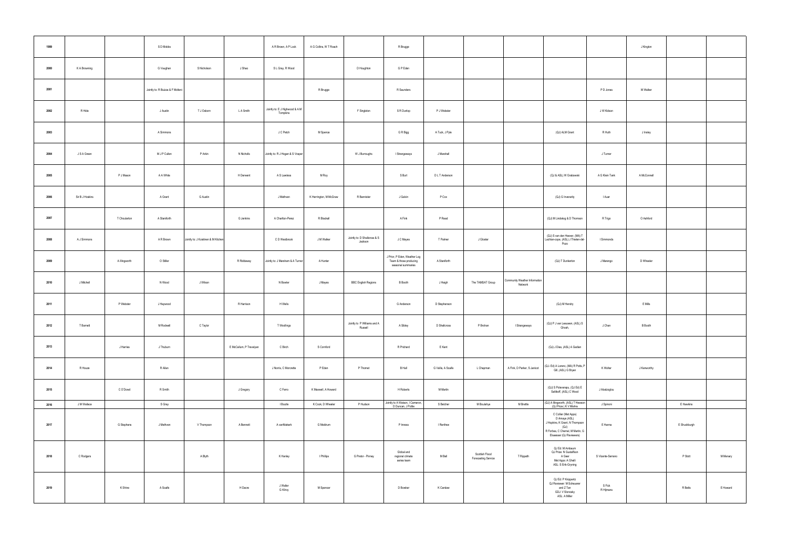| 1999 |                 |               | S D Mobbs                        |                                     |                         | A R Brown, A P Lock                        | A G Collins, W T Roach |                                         | R Brugge                                                                     |                    |                                       |                                          |                                                                                                                                                |                     | J Kington      |              |          |
|------|-----------------|---------------|----------------------------------|-------------------------------------|-------------------------|--------------------------------------------|------------------------|-----------------------------------------|------------------------------------------------------------------------------|--------------------|---------------------------------------|------------------------------------------|------------------------------------------------------------------------------------------------------------------------------------------------|---------------------|----------------|--------------|----------|
| 2000 | K A Browning    |               | G Vaughan                        | S Nicholson                         | J Shao                  | S L Gray, R Wood                           |                        | D Houghton                              | G P Eden                                                                     |                    |                                       |                                          |                                                                                                                                                |                     |                |              |          |
| 2001 |                 |               | Jointly to: R Buizza & F Molteni |                                     |                         |                                            | R Brugge               |                                         | R Saunders                                                                   |                    |                                       |                                          |                                                                                                                                                | P D Jones           | M Walker       |              |          |
| 2002 | R Hide          |               | J Austin                         | T J Osborn                          | L A Smith               | Jointly to: E J Highwood & A M<br>Tompkins |                        | F Singleton                             | S R Dunlop                                                                   | P J Webster        |                                       |                                          |                                                                                                                                                | J W Kidson          |                |              |          |
| 2003 |                 |               | A Simmons                        |                                     |                         | J C Petch                                  | M Spence               |                                         | G R Bigg                                                                     | A Tuck, J Pyle     |                                       |                                          | (QJ) ALM Grant                                                                                                                                 | R Huth              | J Insley       |              |          |
| 2004 | J S A Green     |               | M J P Cullen                     | P Arkin                             | N Nicholls              | Jointly to: R J Hogan & S Vosper           |                        | W J Burroughs                           | I Strangeways                                                                | J Marshall         |                                       |                                          |                                                                                                                                                | J Turner            |                |              |          |
| 2005 |                 | P J Mason     | A A White                        |                                     | H Derwent               | A S Lawless                                | M Roy                  |                                         | S Burt                                                                       | D L T Anderson     |                                       |                                          | (QJ & ASL) W Grabowski                                                                                                                         | A G Klein Tank      | A McConnell    |              |          |
| 2006 | Sir B J Hoskins |               | A Grant                          | G Austin                            |                         | J Methven                                  | K Herrington, M McGraw | R Bannister                             | J Galvin                                                                     | P Cox              |                                       |                                          | (QJ) G Inverarity                                                                                                                              | I Auer              |                |              |          |
| 2007 |                 | T Choularton  | A Staniforth                     |                                     | G Jenkins               | A Charlton-Perez                           | R Blackall             |                                         | A Fink                                                                       | P Read             |                                       |                                          | (QJ) M Lindskog & D Thomson                                                                                                                    | R Trigo             | O Ashford      |              |          |
| 2008 | A J Simmons     |               | A R Brown                        | Jointly to: J Koistinen & M Kitcher |                         | C D Westbrook                              | J M Walker             | Jointly to: D Shallcross & S<br>Jackson | J C Mayes                                                                    | T Palmer           | J Gloster                             |                                          | (QJ) S van den Heever, (MA) T<br>Lachlan-cope, (ASL) J Thielen-del-<br>Pozo                                                                    | I Simmonds          |                |              |          |
| 2009 |                 | A Illingworth | O Stiller                        |                                     | R Riddaway              | Jointly to: J Marsham & A Turner           | A Hunter               |                                         | J Prior, P Eden, Weather Log<br>Team & those producing<br>seasonal summaries | A Staniforth       |                                       |                                          | (QJ) T Dunkerton                                                                                                                               | J Marengo           | D Wheeler      |              |          |
| 2010 | J Mitchell      |               | N Wood                           | J Wilson                            |                         | N Bowler                                   | J Mayes                | <b>BBC English Regions</b>              | <b>B</b> Booth                                                               | J Haigh            | The TAMSAT Group                      | Community Weather Information<br>Network |                                                                                                                                                |                     |                |              |          |
| 2011 |                 | P Webster     | J Haywood                        |                                     | R Harrison              | H Wells                                    |                        |                                         | G Anderson                                                                   | D Stephenson       |                                       |                                          | (QJ) M Hendry                                                                                                                                  |                     | E Mills        |              |          |
| 2012 | T Barnett       |               | M Rodwell                        | C Taylor                            |                         | T Woollings                                |                        | Jointly to P Williams and A<br>Russell  | A Sibley                                                                     | D Shallcross       | P Brohan                              | I Strangeways                            | (QJ) P J van Leeuwen, (ASL) S<br>Ghosh,                                                                                                        | J Chan              | <b>B</b> Booth |              |          |
| 2013 |                 | J Harries     | J Thuburn                        |                                     | E McCallum, P Trevelyan | C Birch                                    | S Cornford             |                                         | R Prichard                                                                   | E Kent             |                                       |                                          | (QJ) J Dias, (ASL) A Gadian                                                                                                                    |                     |                |              |          |
| 2014 | R Houze         |               | R Allan                          |                                     |                         | J Norris, C Morcrette                      | P Eden                 | P Thomet                                | <b>B</b> Hall                                                                | G Vallis, A Scaife | L Chapman                             | A Fink, D Parker, S Janicot              | (QJ- Ed) A Lorenc, (MA) R Potts, P<br>Gill, (ASL) G Bryan                                                                                      | K Wolter            | J Kenworthy    |              |          |
| 2015 |                 | C O'Dowd      | R Smith                          |                                     | J Gregory               | C Ferro                                    | K Maxwell, A Howard    |                                         | H Roberts                                                                    | M Martin           |                                       |                                          | (QJ) S Polavarapu, (QJ Ed) E<br>Saltikoff, (ASL) C Wood                                                                                        | J Abatzoglou        |                |              |          |
| 2016 | J M Wallace     |               | S Gray                           |                                     |                         | I Boutle                                   | K Cook, D Wheeler      | P Hudson                                | Jointly to A Watson, I Cameron<br>D Duncan, J Pottie                         | S Belcher          | M Boulahya                            | M Brettle                                | (QJ) A Illingworth, (ASL) T Hewson<br>(QJ Prize) K V Mishra                                                                                    | J Spinoni           |                | E Hawkins    |          |
| 2017 |                 | G Stephens    | J Methven                        | V Thompson                          | A Bennett               | A vanNiekerk                               | G Meldrum              |                                         | P Inness                                                                     | I Renfrew          |                                       |                                          | C Collier (Met Apps)<br>D Amaya (ASL)<br>J Hopkins, K Grant, N Thompson<br>(QJ)<br>R Forbes, C Chemel, M Martin, G<br>Elsaesser (QJ Reviewers) | E Hanna             |                | E Shuckburgh |          |
| 2018 | C Rodgers       |               |                                  | A Blyth                             |                         | K Hanley                                   | I Phillips             | G Pretor - Pinney                       | Global and<br>regional climate<br>series team                                | M Bell             | Scottish Flood<br>Forecasting Service | T Rippeth                                | QJ Ed: M Ambaum<br>QJ Prize: N Gustaffson<br>A Geer<br>Met Apps: A Ghelli<br>ASL: S Erik-Gryning                                               | S Vicente-Serrano   |                | P Stott      | M Menary |
| 2019 |                 | K Shine       | A Scaife                         |                                     | H Dacre                 | J Waller<br>G Kilroy                       | M Spencer              |                                         | D Bowker                                                                     | K Carslaw          |                                       |                                          | QJ Ed: P Knippertz<br>QJ Reviewer: M Scheuerer<br>and Z Tan<br>GDJ: V Slonosky<br>ASL: A Miller                                                | S Fick<br>R Hijmans |                | R Betts      | E Howard |